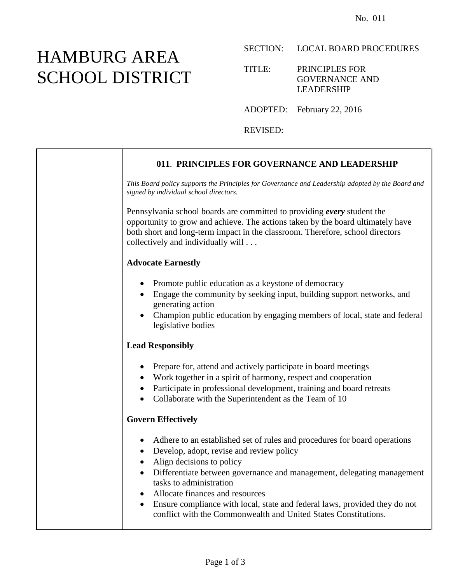# HAMBURG AREA SCHOOL DISTRICT

#### SECTION: LOCAL BOARD PROCEDURES

#### TITLE: PRINCIPLES FOR GOVERNANCE AND LEADERSHIP

ADOPTED: February 22, 2016

REVISED:

## **011**. **PRINCIPLES FOR GOVERNANCE AND LEADERSHIP** *This Board policy supports the Principles for Governance and Leadership adopted by the Board and signed by individual school directors.* Pennsylvania school boards are committed to providing *every* student the opportunity to grow and achieve. The actions taken by the board ultimately have both short and long-term impact in the classroom. Therefore, school directors collectively and individually will . . . **Advocate Earnestly** • Promote public education as a keystone of democracy Engage the community by seeking input, building support networks, and generating action Champion public education by engaging members of local, state and federal legislative bodies **Lead Responsibly** • Prepare for, attend and actively participate in board meetings Work together in a spirit of harmony, respect and cooperation • Participate in professional development, training and board retreats • Collaborate with the Superintendent as the Team of 10 **Govern Effectively** Adhere to an established set of rules and procedures for board operations • Develop, adopt, revise and review policy • Align decisions to policy Differentiate between governance and management, delegating management tasks to administration Allocate finances and resources Ensure compliance with local, state and federal laws, provided they do not conflict with the Commonwealth and United States Constitutions.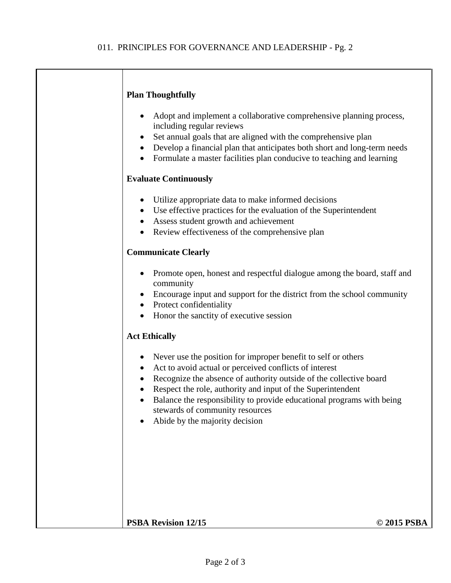#### **Plan Thoughtfully**

- Adopt and implement a collaborative comprehensive planning process, including regular reviews
- Set annual goals that are aligned with the comprehensive plan
- Develop a financial plan that anticipates both short and long-term needs
- Formulate a master facilities plan conducive to teaching and learning

#### **Evaluate Continuously**

- Utilize appropriate data to make informed decisions
- Use effective practices for the evaluation of the Superintendent
- Assess student growth and achievement
- Review effectiveness of the comprehensive plan

#### **Communicate Clearly**

- Promote open, honest and respectful dialogue among the board, staff and community
- Encourage input and support for the district from the school community
- Protect confidentiality
- Honor the sanctity of executive session

#### **Act Ethically**

- Never use the position for improper benefit to self or others
- Act to avoid actual or perceived conflicts of interest
- Recognize the absence of authority outside of the collective board
- Respect the role, authority and input of the Superintendent
- Balance the responsibility to provide educational programs with being stewards of community resources
- Abide by the majority decision

#### **PSBA Revision 12/15 © 2015 PSBA**